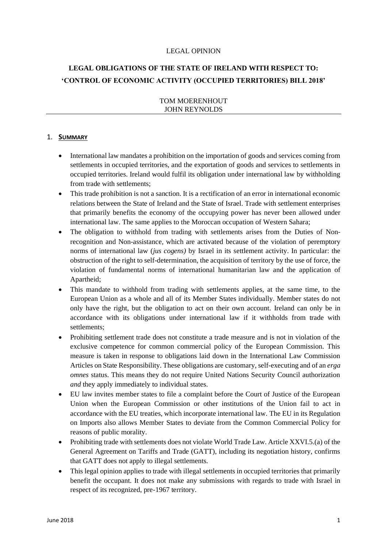#### LEGAL OPINION

# **LEGAL OBLIGATIONS OF THE STATE OF IRELAND WITH RESPECT TO: 'CONTROL OF ECONOMIC ACTIVITY (OCCUPIED TERRITORIES) BILL 2018'**

## TOM MOERENHOUT JOHN REYNOLDS

## 1. **SUMMARY**

- International law mandates a prohibition on the importation of goods and services coming from settlements in occupied territories, and the exportation of goods and services to settlements in occupied territories. Ireland would fulfil its obligation under international law by withholding from trade with settlements;
- This trade prohibition is not a sanction. It is a rectification of an error in international economic relations between the State of Ireland and the State of Israel. Trade with settlement enterprises that primarily benefits the economy of the occupying power has never been allowed under international law. The same applies to the Moroccan occupation of Western Sahara;
- The obligation to withhold from trading with settlements arises from the Duties of Nonrecognition and Non-assistance, which are activated because of the violation of peremptory norms of international law (*jus cogens)* by Israel in its settlement activity. In particular: the obstruction of the right to self-determination, the acquisition of territory by the use of force, the violation of fundamental norms of international humanitarian law and the application of Apartheid;
- This mandate to withhold from trading with settlements applies, at the same time, to the European Union as a whole and all of its Member States individually. Member states do not only have the right, but the obligation to act on their own account. Ireland can only be in accordance with its obligations under international law if it withholds from trade with settlements;
- Prohibiting settlement trade does not constitute a trade measure and is not in violation of the exclusive competence for common commercial policy of the European Commission. This measure is taken in response to obligations laid down in the International Law Commission Articles on State Responsibility. These obligations are customary, self-executing and of an *erga omnes* status. This means they do not require United Nations Security Council authorization *and* they apply immediately to individual states.
- EU law invites member states to file a complaint before the Court of Justice of the European Union when the European Commission or other institutions of the Union fail to act in accordance with the EU treaties, which incorporate international law. The EU in its Regulation on Imports also allows Member States to deviate from the Common Commercial Policy for reasons of public morality.
- Prohibiting trade with settlements does not violate World Trade Law. Article XXVI.5.(a) of the General Agreement on Tariffs and Trade (GATT), including its negotiation history, confirms that GATT does not apply to illegal settlements.
- This legal opinion applies to trade with illegal settlements in occupied territories that primarily benefit the occupant. It does not make any submissions with regards to trade with Israel in respect of its recognized, pre-1967 territory.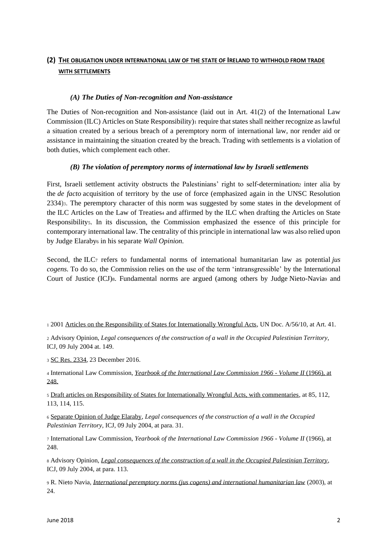## **(2) THE OBLIGATION UNDER INTERNATIONAL LAW OF THE STATE OF IRELAND TO WITHHOLD FROM TRADE WITH SETTLEMENTS**

## *(A) The Duties of Non-recognition and Non-assistance*

The Duties of Non-recognition and Non-assistance (laid out in Art. 41(2) of the International Law Commission (ILC) Articles on State Responsibility)<sup>1</sup> require that states shall neither recognize as lawful a situation created by a serious breach of a peremptory norm of international law, nor render aid or assistance in maintaining the situation created by the breach. Trading with settlements is a violation of both duties, which complement each other.

## *(B) The violation of peremptory norms of international law by Israeli settlements*

First, Israeli settlement activity obstructs the Palestinians' right to self-determination inter alia by the *de facto* acquisition of territory by the use of force (emphasized again in the UNSC Resolution 2334)3. The peremptory character of this norm was suggested by some states in the development of the ILC Articles on the Law of Treaties<sup>4</sup> and affirmed by the ILC when drafting the Articles on State Responsibilitys. In its discussion, the Commission emphasized the essence of this principle for contemporary international law. The centrality of this principle in international law was also relied upon by Judge Elaraby<sup>6</sup> in his separate *Wall Opinion.* 

Second, the ILC<sup>7</sup> refers to fundamental norms of international humanitarian law as potential *jus cogens.* To do so, the Commission relies on the use of the term 'intransgressible' by the International Court of Justice (ICJ)8. Fundamental norms are argued (among others by Judge Nieto-Navia<sup>9</sup> and

<sup>3</sup> [SC Res. 2334,](http://www.un.org/en/ga/search/view_doc.asp?symbol=S/RES/2334(2016)) 23 December 2016.

<sup>6</sup> [Separate Opinion of Judge Elaraby,](https://unispal.un.org/DPA/DPR/unispal.nsf/0/138F3FB54E9EEDFD85256EEB0055C300) *Legal consequences of the construction of a wall in the Occupied Palestinian Territory,* ICJ, 09 July 2004, at para. 31.

<sup>7</sup> International Law Commission, *Yearbook of the International Law Commission 1966 - Volume II* (1966), at 248.

<sup>8</sup> Advisory Opinion, *[Legal consequences of the construction of a wall in the Occupied Palestinian Territory,](http://www.icj-cij.org/docket/files/131/1671.pdf)*  ICJ, 09 July 2004, at para. 113.

<sup>9</sup> R. Nieto Navia, *[International peremptory norms \(jus cogens\) and international humanitarian law](http://www.dphu.org/uploads/attachements/books/books_4008_0.pdf)* (2003), at 24.

<sup>1</sup> 2001 [Articles on the Responsibility of States for Internationally Wrongful Acts,](http://legal.un.org/ilc/texts/instruments/english/commentaries/9_6_2001.pdf) UN Doc. A/56/10, at Art. 41.

<sup>2</sup> Advisory Opinion, *Legal consequences of the construction of a wall in the Occupied Palestinian Territory,*  ICJ, 09 July 2004 at. 149.

<sup>4</sup> International Law Commission, *[Yearbook of the International Law Commission 1966 -](http://legal.un.org/ilc/publications/yearbooks/english/ilc_1966_v2.pdf) Volume II* (1966), at [248.](http://legal.un.org/ilc/publications/yearbooks/english/ilc_1966_v2.pdf)

<sup>5</sup> [Draft articles on Responsibility of States for Internationally Wrongful Acts, with commentaries,](http://legal.un.org/ilc/texts/instruments/english/commentaries/9_6_2001.pdf) at 85, 112, 113, 114, 115.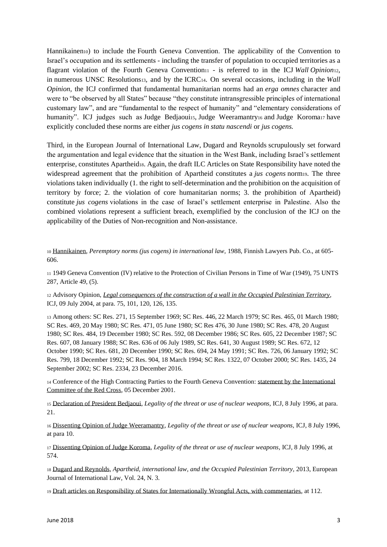Hannikainen<sub>10</sub>) to include the Fourth Geneva Convention. The applicability of the Convention to Israel's occupation and its settlements - including the transfer of population to occupied territories as a flagrant violation of the Fourth Geneva Convention  $\frac{1}{1}$  - is referred to in the ICJ *Wall Opinion*<sub>12</sub>, in numerous UNSC Resolutions13, and by the ICRC14. On several occasions, including in the *Wall Opinion,* the ICJ confirmed that fundamental humanitarian norms had an *erga omnes* character and were to "be observed by all States" because "they constitute intransgressible principles of international customary law", and are "fundamental to the respect of humanity" and "elementary considerations of humanity". ICJ judges such as Judge Bedjaoui15, Judge Weeramantry16 and Judge Koroma17 have explicitly concluded these norms are either *jus cogens in statu nascendi* or *jus cogens.*

Third, in the European Journal of International Law, Dugard and Reynolds scrupulously set forward the argumentation and legal evidence that the situation in the West Bank, including Israel's settlement enterprise, constitutes Apartheid18. Again, the draft ILC Articles on State Responsibility have noted the widespread agreement that the prohibition of Apartheid constitutes a *jus cogens* norm19. The three violations taken individually (1. the right to self-determination and the prohibition on the acquisition of territory by force; 2. the violation of core humanitarian norms; 3. the prohibition of Apartheid) constitute *jus cogens* violations in the case of Israel's settlement enterprise in Palestine. Also the combined violations represent a sufficient breach, exemplified by the conclusion of the ICJ on the applicability of the Duties of Non-recognition and Non-assistance.

<sup>10</sup> [Hannikainen,](https://books.google.ch/books/about/Peremptory_norms_jus_cogens_in_internati.html?id=0Y46AQAAIAAJ&redir_esc=y) *Peremptory norms (jus cogens) in international law,* 1988, Finnish Lawyers Pub. Co., at 605- 606.

<sup>11</sup> 1949 Geneva Convention (IV) relative to the Protection of Civilian Persons in Time of War (1949), 75 UNTS 287, Article 49, (5).

<sup>12</sup> Advisory Opinion, *[Legal consequences of the construction of a wall in the Occupied Palestinian Territory,](http://www.icj-cij.org/docket/files/131/1671.pdf)*  ICJ, 09 July 2004, at para. 75, 101, 120, 126, 135.

<sup>13</sup> Among others: SC Res. 271, 15 September 1969; SC Res. 446, 22 March 1979; SC Res. 465, 01 March 1980; SC Res. 469, 20 May 1980; SC Res. 471, 05 June 1980; SC Res 476, 30 June 1980; SC Res. 478, 20 August 1980; SC Res. 484, 19 December 1980; SC Res. 592, 08 December 1986; SC Res. 605, 22 December 1987; SC Res. 607, 08 January 1988; SC Res. 636 of 06 July 1989, SC Res. 641, 30 August 1989; SC Res. 672, 12 October 1990; SC Res. 681, 20 December 1990; SC Res. 694, 24 May 1991; SC Res. 726, 06 January 1992; SC Res. 799, 18 December 1992; SC Res. 904, 18 March 1994; SC Res. 1322, 07 October 2000; SC Res. 1435, 24 September 2002; SC Res. 2334, 23 December 2016.

<sup>14</sup> Conference of the High Contracting Parties to the Fourth Geneva Convention: [statement by the International](https://www.icrc.org/eng/resources/documents/statement/57jrgw.htm)  [Committee of the Red Cross,](https://www.icrc.org/eng/resources/documents/statement/57jrgw.htm) 05 December 2001.

<sup>15</sup> [Declaration of President Bedjaoui,](http://www.icj-cij.org/docket/files/95/7499.pdf) *Legality of the threat or use of nuclear weapons,* ICJ, 8 July 1996, at para. 21.

<sup>16</sup> [Dissenting Opinion of Judge Weeramantry,](http://www.icj-cij.org/docket/files/95/7521.pdf) *Legality of the threat or use of nuclear weapons,* ICJ, 8 July 1996, at para 10.

<sup>17</sup> [Dissenting Opinion of Judge Koroma,](http://www.icj-cij.org/docket/files/95/7523.pdf) *Legality of the threat or use of nuclear weapons,* ICJ, 8 July 1996, at 574.

<sup>18</sup> [Dugard and Reynolds,](https://watermark.silverchair.com/cht045.pdf?token=AQECAHi208BE49Ooan9kkhW_Ercy7Dm3ZL_9Cf3qfKAc485ysgAAAZ8wggGbBgkqhkiG9w0BBwagggGMMIIBiAIBADCCAYEGCSqGSIb3DQEHATAeBglghkgBZQMEAS4wEQQMZcjdXHzLGyQKZ9GjAgEQgIIBUrUP1bZ__A8KHBO_J6G4v-1m46K15aVm9GP7S-VcRPK3jk0EfNRI9wNCXkymSg3giTG5jkCz98W4qTqP4LQmYawg7ikl_aqvqx5cJ1jOUStk8AhRcGv3afWtqwlV6Y06jLWz2ngRWv39-BNf0vWYaqkEtChxHgxI28TQj6y2o5Mb2g7tR9YX1Bsdc7VApYDZKXQkGRUj6vP4pFzg-Cx5078uyBZUP3TG--sk8IlxTxuvM6ycY41yBO3ZjQ1fDiKaqUN7hgEyMoXp-s2CnniLSAcB6O-JMYvyEaN_VvE4sHR-rEPDatPYIH-Zper2XoL33Q3smeoX3dG67xKjcsVUGkPA8sfWkc0BAVN3uY4WB2gtL0Wx9kDsVyq4nGAa5Q4_AxErO95p9TXvtAXZoG9AhM7FJQmhB7uCCaSA1y_TzkVTqww12CJV33DEkFrQ0mlO83L1) *Apartheid, international law, and the Occupied Palestinian Territory,* 2013, European Journal of International Law, Vol. 24, N. 3.

<sup>19</sup> [Draft articles on Responsibility of States for Internationally Wrongful Acts, with commentaries,](http://legal.un.org/ilc/texts/instruments/english/commentaries/9_6_2001.pdf) at 112.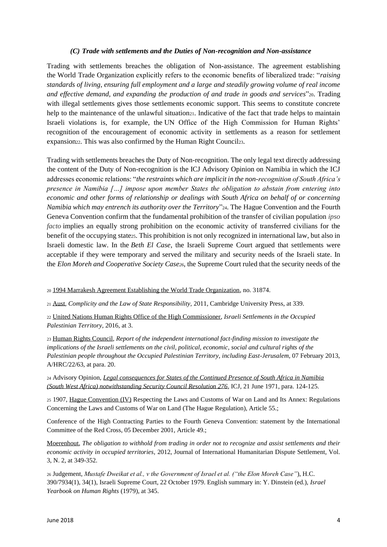#### *(C) Trade with settlements and the Duties of Non-recognition and Non-assistance*

Trading with settlements breaches the obligation of Non-assistance. The agreement establishing the World Trade Organization explicitly refers to the economic benefits of liberalized trade: "*raising standards of living, ensuring full employment and a large and steadily growing volume of real income and effective demand, and expanding the production of and trade in goods and services*"20. Trading with illegal settlements gives those settlements economic support. This seems to constitute concrete help to the maintenance of the unlawful situation<sub>21</sub>. Indicative of the fact that trade helps to maintain Israeli violations is, for example, the UN Office of the High Commission for Human Rights' recognition of the encouragement of economic activity in settlements as a reason for settlement expansion<sub>22</sub>. This was also confirmed by the Human Right Council<sub>23</sub>.

Trading with settlements breaches the Duty of Non-recognition. The only legal text directly addressing the content of the Duty of Non-recognition is the ICJ Advisory Opinion on Namibia in which the ICJ addresses economic relations: "*the restraints which are implicit in the non-recognition of South Africa's presence in Namibia […] impose upon member States the obligation to abstain from entering into economic and other forms of relationship or dealings with South Africa on behalf of or concerning Namibia which may entrench its authority over the Territory*"24. The Hague Convention and the Fourth Geneva Convention confirm that the fundamental prohibition of the transfer of civilian population *ipso facto* implies an equally strong prohibition on the economic activity of transferred civilians for the benefit of the occupying state25. This prohibition is not only recognized in international law, but also in Israeli domestic law. In the *Beth El Case*, the Israeli Supreme Court argued that settlements were acceptable if they were temporary and served the military and security needs of the Israeli state. In the *Elon Moreh and Cooperative Society Case26*, the Supreme Court ruled that the security needs of the

<sup>20</sup> [1994 Marrakesh Agreement Establishing the World Trade Organization,](https://www.wto.org/english/res_e/booksp_e/analytic_index_e/wto_agree_01_e.htm) no. 31874.

<sup>21</sup> [Aust,](https://books.google.ch/books/about/Complicity_and_the_Law_of_State_Responsi.html?id=iuNnSTil76IC&redir_esc=y) *Complicity and the Law of State Responsibility,* 2011, Cambridge University Press, at 339.

<sup>22</sup> [United Nations Human Rights Office of the High Commissioner,](https://www.ohchr.org/Documents/Countries/PS/SG_Report_on_Israeli_A.71.355.pdf) *Israeli Settlements in the Occupied Palestinian Territory,* 2016, at 3.

<sup>23</sup> [Human Rights Council,](https://www.ohchr.org/Documents/HRBodies/HRCouncil/RegularSession/Session22/A-HRC-22-63_en.pdf) *Report of the independent international fact-finding mission to investigate the implications of the Israeli settlements on the civil, political, economic, social and cultural rights of the Palestinian people throughout the Occupied Palestinian Territory, including East-Jerusalem,* 07 February 2013, A/HRC/22/63, at para. 20.

<sup>24</sup> Advisory Opinion, *[Legal consequences for States of the Continued Presence of South Africa in Namibia](http://www.icj-cij.org/docket/files/53/5595.pdf)  [\(South West Africa\) notwithstanding Security Council Resolution 276,](http://www.icj-cij.org/docket/files/53/5595.pdf)* ICJ, 21 June 1971, para. 124-125.

<sup>25</sup> 1907, [Hague Convention \(IV\)](https://ihl-databases.icrc.org/ihl/INTRO/195) Respecting the Laws and Customs of War on Land and Its Annex: Regulations Concerning the Laws and Customs of War on Land (The Hague Regulation), Article 55.;

Conference of the High Contracting Parties to the Fourth Geneva Convention: statement by the International Committee of the Red Cross, 05 December 2001, Article 49.;

[Moerenhout,](http://booksandjournals.brillonline.com/content/journals/10.1163/18781527-00302004) *The obligation to withhold from trading in order not to recognize and assist settlements and their economic activity in occupied territories,* 2012, Journal of International Humanitarian Dispute Settlement, Vol. 3, N. 2, at 349-352.

<sup>26</sup> Judgement, *Mustafe Dweikat et al., v the Government of Israel et al. ("the Elon Moreh Case"*), H.C. 390/7934(1), 34(1), Israeli Supreme Court, 22 October 1979. English summary in: Y. Dinstein (ed.), *Israel Yearbook on Human Rights* (1979), at 345.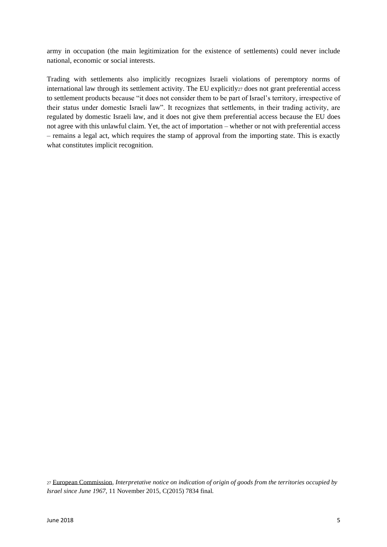army in occupation (the main legitimization for the existence of settlements) could never include national, economic or social interests.

Trading with settlements also implicitly recognizes Israeli violations of peremptory norms of international law through its settlement activity. The EU explicitly<sup>27</sup> does not grant preferential access to settlement products because "it does not consider them to be part of Israel's territory, irrespective of their status under domestic Israeli law". It recognizes that settlements, in their trading activity, are regulated by domestic Israeli law, and it does not give them preferential access because the EU does not agree with this unlawful claim. Yet, the act of importation – whether or not with preferential access – remains a legal act, which requires the stamp of approval from the importing state. This is exactly what constitutes implicit recognition.

<sup>27</sup> [European Commission,](https://eeas.europa.eu/sites/eeas/files/20151111_interpretative_notice_indication_of_origin_en.pdf) *Interpretative notice on indication of origin of goods from the territories occupied by Israel since June 1967,* 11 November 2015, C(2015) 7834 final.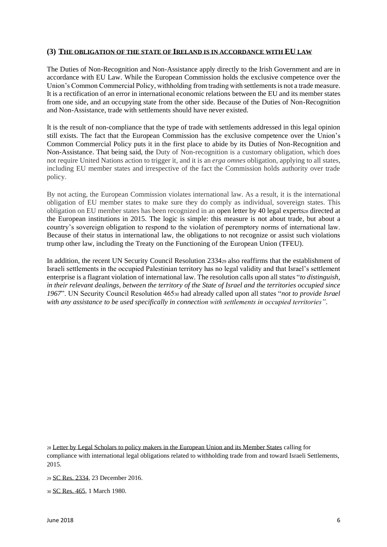## **(3) THE OBLIGATION OF THE STATE OF IRELAND IS IN ACCORDANCE WITH EU LAW**

The Duties of Non-Recognition and Non-Assistance apply directly to the Irish Government and are in accordance with EU Law. While the European Commission holds the exclusive competence over the Union's Common Commercial Policy, withholding from trading with settlements is not a trade measure. It is a rectification of an error in international economic relations between the EU and its member states from one side, and an occupying state from the other side. Because of the Duties of Non-Recognition and Non-Assistance, trade with settlements should have never existed.

It is the result of non-compliance that the type of trade with settlements addressed in this legal opinion still exists. The fact that the European Commission has the exclusive competence over the Union's Common Commercial Policy puts it in the first place to abide by its Duties of Non-Recognition and Non-Assistance. That being said, the Duty of Non-recognition is a customary obligation, which does not require United Nations action to trigger it, and it is an *erga omnes* obligation, applying to all states, including EU member states and irrespective of the fact the Commission holds authority over trade policy.

By not acting, the European Commission violates international law. As a result, it is the international obligation of EU member states to make sure they do comply as individual, sovereign states. This obligation on EU member states has been recognized in an open letter by 40 legal experts<sub>28</sub> directed at the European institutions in 2015. The logic is simple: this measure is not about trade, but about a country's sovereign obligation to respond to the violation of peremptory norms of international law. Because of their status in international law, the obligations to not recognize or assist such violations trump other law, including the Treaty on the Functioning of the European Union (TFEU).

In addition, the recent UN Security Council Resolution 2334<sup>29</sup> also reaffirms that the establishment of Israeli settlements in the occupied Palestinian territory has no legal validity and that Israel's settlement enterprise is a flagrant violation of international law. The resolution calls upon all states "*to distinguish, in their relevant dealings, between the territory of the State of Israel and the territories occupied since 1967*". UN Security Council Resolution 465<sup>30</sup> had already called upon all states "*not to provide Israel with any assistance to be used specifically in connection with settlements in occupied territories"*.

<sup>28</sup> [Letter by Legal Scholars to policy makers in the European Union and its Member States](http://mondoweiss.net/2015/12/european-trading-settlements/) calling for compliance with international legal obligations related to withholding trade from and toward Israeli Settlements, 2015.

<sup>29</sup> [SC Res. 2334,](http://www.un.org/en/ga/search/view_doc.asp?symbol=S/RES/2334(2016)) 23 December 2016.

<sup>30</sup> [SC Res. 465,](http://www.un.org/en/ga/search/view_doc.asp?symbol=S/RES/465(1980)) 1 March 1980.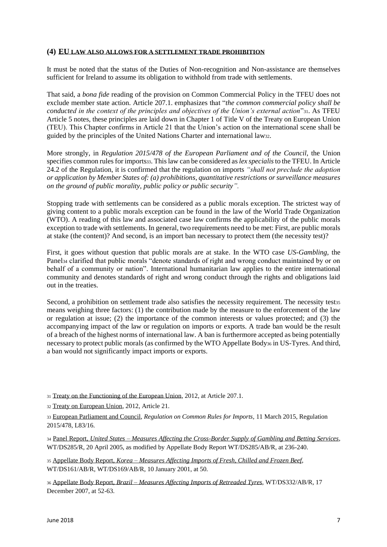## **(4) EU LAW ALSO ALLOWS FOR A SETTLEMENT TRADE PROHIBITION**

It must be noted that the status of the Duties of Non-recognition and Non-assistance are themselves sufficient for Ireland to assume its obligation to withhold from trade with settlements.

That said, a *bona fide* reading of the provision on Common Commercial Policy in the TFEU does not exclude member state action. Article 207.1. emphasizes that "*the common commercial policy shall be conducted in the context of the principles and objectives of the Union's external action*"31. As TFEU Article 5 notes, these principles are laid down in Chapter 1 of Title V of the Treaty on European Union (TEU). This Chapter confirms in Article 21 that the Union's action on the international scene shall be guided by the principles of the United Nations Charter and international law32.

More strongly, in *Regulation 2015/478 of the European Parliament and of the Council*, the Union specifies common rules for imports33. This law can be considered as *lex specialis*to the TFEU. In Article 24.2 of the Regulation, it is confirmed that the regulation on imports *"shall not preclude the adoption or application by Member States of: (a) prohibitions, quantitative restrictions or surveillance measures on the ground of public morality, public policy or public security".* 

Stopping trade with settlements can be considered as a public morals exception. The strictest way of giving content to a public morals exception can be found in the law of the World Trade Organization (WTO). A reading of this law and associated case law confirms the applicability of the public morals exception to trade with settlements. In general, two requirements need to be met: First, are public morals at stake (the content)? And second, is an import ban necessary to protect them (the necessity test)?

First, it goes without question that public morals are at stake. In the WTO case *US-Gambling*, the Panel<sup>34</sup> clarified that public morals "denote standards of right and wrong conduct maintained by or on behalf of a community or nation". International humanitarian law applies to the entire international community and denotes standards of right and wrong conduct through the rights and obligations laid out in the treaties.

Second, a prohibition on settlement trade also satisfies the necessity requirement. The necessity test35 means weighing three factors: (1) the contribution made by the measure to the enforcement of the law or regulation at issue; (2) the importance of the common interests or values protected; and (3) the accompanying impact of the law or regulation on imports or exports. A trade ban would be the result of a breach of the highest norms of international law. A ban is furthermore accepted as being potentially necessary to protect public morals (as confirmed by the WTO Appellate Body<sup>36</sup> in US-Tyres. And third, a ban would not significantly impact imports or exports.

<sup>31</sup> [Treaty on the Functioning of the European Union,](https://eur-lex.europa.eu/legal-content/EN/TXT/PDF/?uri=CELEX:12012E/TXT) 2012, at Article 207.1.

<sup>32</sup> [Treaty on European Union,](https://eur-lex.europa.eu/legal-content/EN/TXT/?uri=uriserv:OJ.C_.2012.326.01.0001.01.ENG&toc=OJ:C:2012:326:FULL#C_2012326EN.01001301) 2012, Article 21.

<sup>33</sup> [European Parliament and Council,](http://trade.ec.europa.eu/doclib/docs/2015/march/tradoc_153323.pdf) *Regulation on Common Rules for Imports,* 11 March 2015, Regulation 2015/478, L83/16.

<sup>34</sup> Panel Report, *United States – [Measures Affecting the Cross-Border Supply](https://docs.wto.org/dol2fe/Pages/FE_Search/FE_S_S006.aspx?Query=(@Symbol=%20wt/ds285/r*%20not%20rw*)&Language=ENGLISH&Context=FomerScriptedSearch&languageUIChanged=true) of Gambling and Betting Services*, WT/DS285/R, 20 April 2005, as modified by Appellate Body Report WT/DS285/AB/R, at 236-240.

<sup>35</sup> Appellate Body Report, *Korea – [Measures Affecting Imports of Fresh, Chilled and Frozen Beef](https://docs.wto.org/dol2fe/Pages/FE_Search/FE_S_S006.aspx?Query=(@Symbol=%20wt/ds161/ab/r*%20not%20rw*)&Language=ENGLISH&Context=FomerScriptedSearch&languageUIChanged=true)*, WT/DS161/AB/R, WT/DS169/AB/R, 10 January 2001, at 50.

<sup>36</sup> Appellate Body Report, *Brazil – [Measures Affecting Imports of Retreaded Tyres](https://docs.wto.org/dol2fe/Pages/FE_Search/FE_S_S006.aspx?Query=(@Symbol=%20wt/ds332/ab/r*%20not%20rw*)&Language=ENGLISH&Context=FomerScriptedSearch&languageUIChanged=true)*, WT/DS332/AB/R, 17 December 2007, at 52-63.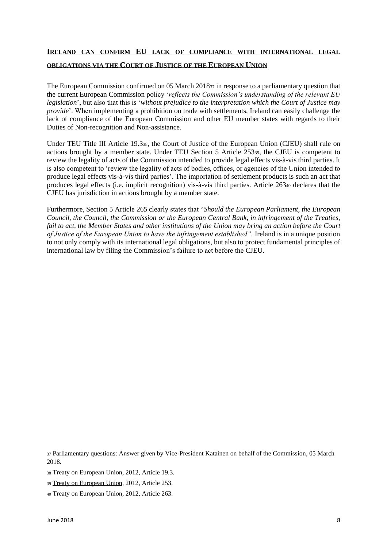#### **IRELAND CAN CONFIRM EU LACK OF COMPLIANCE WITH INTERNATIONAL LEGAL**

#### **OBLIGATIONS VIA THE COURT OF JUSTICE OF THE EUROPEAN UNION**

The European Commission confirmed on 05 March 2018<sup>37</sup> in response to a parliamentary question that the current European Commission policy '*reflects the Commission's understanding of the relevant EU legislation*', but also that this is '*without prejudice to the interpretation which the Court of Justice may provide*'. When implementing a prohibition on trade with settlements, Ireland can easily challenge the lack of compliance of the European Commission and other EU member states with regards to their Duties of Non-recognition and Non-assistance.

Under TEU Title III Article 19.338, the Court of Justice of the European Union (CJEU) shall rule on actions brought by a member state. Under TEU Section 5 Article 25339, the CJEU is competent to review the legality of acts of the Commission intended to provide legal effects vis-à-vis third parties. It is also competent to 'review the legality of acts of bodies, offices, or agencies of the Union intended to produce legal effects vis-à-vis third parties'. The importation of settlement products is such an act that produces legal effects (i.e. implicit recognition) vis-à-vis third parties. Article 263<sup>40</sup> declares that the CJEU has jurisdiction in actions brought by a member state.

Furthermore, Section 5 Article 265 clearly states that "*Should the European Parliament, the European Council, the Council, the Commission or the European Central Bank, in infringement of the Treaties, fail to act, the Member States and other institutions of the Union may bring an action before the Court of Justice of the European Union to have the infringement established".* Ireland is in a unique position to not only comply with its international legal obligations, but also to protect fundamental principles of international law by filing the Commission's failure to act before the CJEU.

<sup>37</sup> Parliamentary questions[: Answer given by Vice-President Katainen on behalf of the Commission,](http://www.europarl.europa.eu/sides/getAllAnswers.do?reference=E-2017-006259&language=EN) 05 March 2018.

<sup>38</sup> [Treaty on European Union,](https://eur-lex.europa.eu/legal-content/EN/TXT/?uri=uriserv:OJ.C_.2012.326.01.0001.01.ENG&toc=OJ:C:2012:326:FULL#C_2012326EN.01001301) 2012, Article 19.3.

<sup>39</sup> [Treaty on European Union,](https://eur-lex.europa.eu/legal-content/EN/TXT/?uri=uriserv:OJ.C_.2012.326.01.0001.01.ENG&toc=OJ:C:2012:326:FULL#C_2012326EN.01001301) 2012, Article 253.

<sup>40</sup> [Treaty on European Union,](https://eur-lex.europa.eu/legal-content/EN/TXT/?uri=uriserv:OJ.C_.2012.326.01.0001.01.ENG&toc=OJ:C:2012:326:FULL#C_2012326EN.01001301) 2012, Article 263.